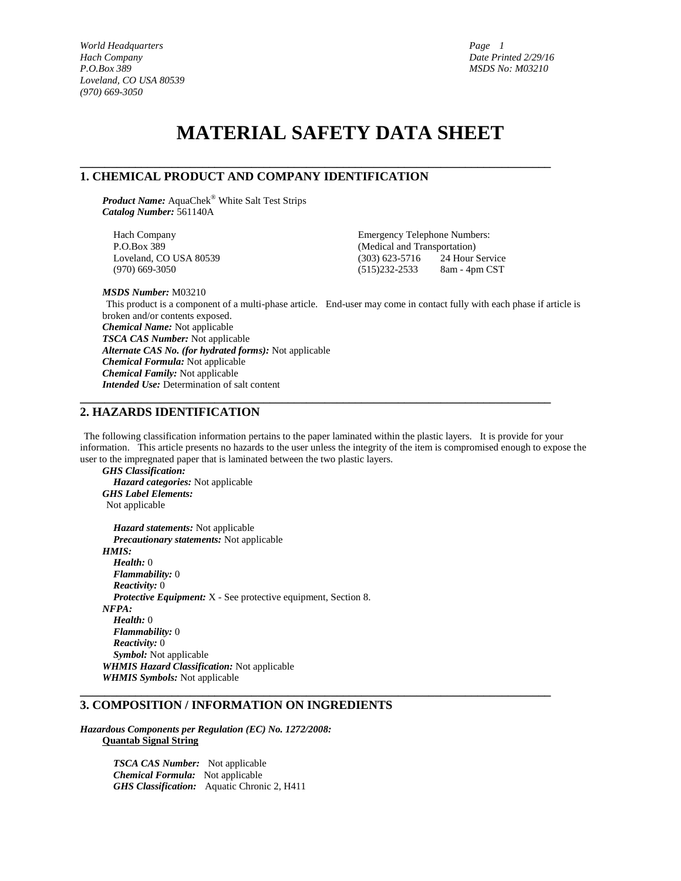*1*

# **MATERIAL SAFETY DATA SHEET**

**\_\_\_\_\_\_\_\_\_\_\_\_\_\_\_\_\_\_\_\_\_\_\_\_\_\_\_\_\_\_\_\_\_\_\_\_\_\_\_\_\_\_\_\_\_\_\_\_\_\_\_\_\_\_\_\_\_\_\_\_\_\_\_\_\_\_\_\_\_\_\_\_\_\_\_\_\_**

# **1. CHEMICAL PRODUCT AND COMPANY IDENTIFICATION**

*Product Name:* AquaChek® White Salt Test Strips *Catalog Number:* 561140A

Hach Company Emergency Telephone Numbers:

P.O.Box 389 (Medical and Transportation) Loveland, CO USA 80539 (303) 623-5716 24 Hour Service (970) 669-3050 (515)232-2533 8am - 4pm CST

*MSDS Number:* M03210

This product is a component of a multi-phase article. End-user may come in contact fully with each phase if article is broken and/or contents exposed. *Chemical Name:* Not applicable *TSCA CAS Number:* Not applicable *Alternate CAS No. (for hydrated forms):* Not applicable *Chemical Formula:* Not applicable *Chemical Family:* Not applicable *Intended Use:* Determination of salt content

# **2. HAZARDS IDENTIFICATION**

The following classification information pertains to the paper laminated within the plastic layers. It is provide for your information. This article presents no hazards to the user unless the integrity of the item is compromised enough to expose the user to the impregnated paper that is laminated between the two plastic layers.

**\_\_\_\_\_\_\_\_\_\_\_\_\_\_\_\_\_\_\_\_\_\_\_\_\_\_\_\_\_\_\_\_\_\_\_\_\_\_\_\_\_\_\_\_\_\_\_\_\_\_\_\_\_\_\_\_\_\_\_\_\_\_\_\_\_\_\_\_\_\_\_\_\_\_\_\_\_**

**\_\_\_\_\_\_\_\_\_\_\_\_\_\_\_\_\_\_\_\_\_\_\_\_\_\_\_\_\_\_\_\_\_\_\_\_\_\_\_\_\_\_\_\_\_\_\_\_\_\_\_\_\_\_\_\_\_\_\_\_\_\_\_\_\_\_\_\_\_\_\_\_\_\_\_\_\_**

*GHS Classification: Hazard categories:* Not applicable *GHS Label Elements:*  Not applicable

*Hazard statements:* Not applicable *Precautionary statements:* Not applicable *HMIS: Health:* 0 *Flammability:* 0 *Reactivity:* 0 *Protective Equipment:* X - See protective equipment, Section 8. *NFPA: Health:* 0 *Flammability:* 0 *Reactivity:* 0 *Symbol:* Not applicable *WHMIS Hazard Classification:* Not applicable *WHMIS Symbols:* Not applicable

# **3. COMPOSITION / INFORMATION ON INGREDIENTS**

*Hazardous Components per Regulation (EC) No. 1272/2008:*  **Quantab Signal String**

> *TSCA CAS Number:* Not applicable *Chemical Formula:* Not applicable *GHS Classification:* Aquatic Chronic 2, H411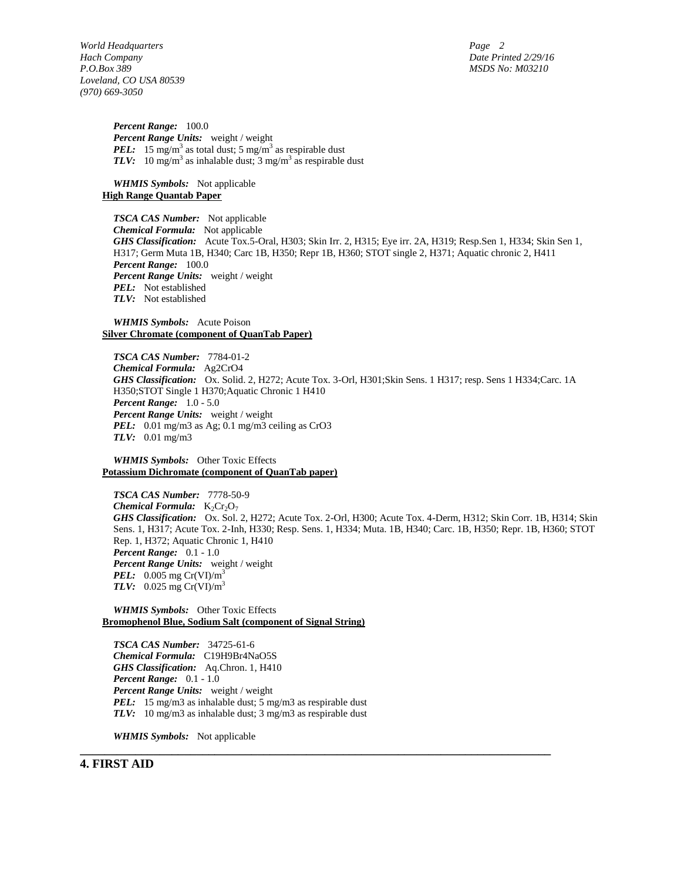*2*

*World Headquarters Hach Company Date Printed 2/29/16 P.O.Box 389 MSDS No: M03210 Loveland, CO USA 80539 (970) 669-3050*

*Percent Range:* 100.0 *Percent Range Units:* weight / weight *PEL:* 15 mg/m<sup>3</sup> as total dust; 5 mg/m<sup>3</sup> as respirable dust *TLV*: 10 mg/m<sup>3</sup> as inhalable dust;  $3$  mg/m<sup>3</sup> as respirable dust

*WHMIS Symbols:* Not applicable **High Range Quantab Paper**

*TSCA CAS Number:* Not applicable *Chemical Formula:* Not applicable *GHS Classification:* Acute Tox.5-Oral, H303; Skin Irr. 2, H315; Eye irr. 2A, H319; Resp.Sen 1, H334; Skin Sen 1, H317; Germ Muta 1B, H340; Carc 1B, H350; Repr 1B, H360; STOT single 2, H371; Aquatic chronic 2, H411 *Percent Range:* 100.0 *Percent Range Units:* weight / weight *PEL:* Not established *TLV:* Not established

### *WHMIS Symbols:* Acute Poison **Silver Chromate (component of QuanTab Paper)**

*TSCA CAS Number:* 7784-01-2 *Chemical Formula:* Ag2CrO4 *GHS Classification:* Ox. Solid. 2, H272; Acute Tox. 3-Orl, H301;Skin Sens. 1 H317; resp. Sens 1 H334;Carc. 1A H350;STOT Single 1 H370;Aquatic Chronic 1 H410 *Percent Range:* 1.0 - 5.0 *Percent Range Units:* weight / weight *PEL:* 0.01 mg/m3 as Ag; 0.1 mg/m3 ceiling as CrO3 *TLV:* 0.01 mg/m3

*WHMIS Symbols:* Other Toxic Effects **Potassium Dichromate (component of QuanTab paper)**

*TSCA CAS Number:* 7778-50-9 *Chemical Formula:*  $K_2Cr_2O_7$ *GHS Classification:* Ox. Sol. 2, H272; Acute Tox. 2-Orl, H300; Acute Tox. 4-Derm, H312; Skin Corr. 1B, H314; Skin Sens. 1, H317; Acute Tox. 2-Inh, H330; Resp. Sens. 1, H334; Muta. 1B, H340; Carc. 1B, H350; Repr. 1B, H360; STOT Rep. 1, H372; Aquatic Chronic 1, H410 *Percent Range:* 0.1 - 1.0 *Percent Range Units:* weight / weight *PEL:* 0.005 mg Cr(VI)/m<sup>3</sup> *TLV:* 0.025 mg Cr(VI)/m<sup>3</sup>

**\_\_\_\_\_\_\_\_\_\_\_\_\_\_\_\_\_\_\_\_\_\_\_\_\_\_\_\_\_\_\_\_\_\_\_\_\_\_\_\_\_\_\_\_\_\_\_\_\_\_\_\_\_\_\_\_\_\_\_\_\_\_\_\_\_\_\_\_\_\_\_\_\_\_\_\_\_**

*WHMIS Symbols:* Other Toxic Effects **Bromophenol Blue, Sodium Salt (component of Signal String)**

*TSCA CAS Number:* 34725-61-6 *Chemical Formula:* C19H9Br4NaO5S *GHS Classification:* Aq.Chron. 1, H410 *Percent Range:* 0.1 - 1.0 *Percent Range Units:* weight / weight *PEL:* 15 mg/m3 as inhalable dust; 5 mg/m3 as respirable dust *TLV:* 10 mg/m3 as inhalable dust; 3 mg/m3 as respirable dust

*WHMIS Symbols:* Not applicable

### **4. FIRST AID**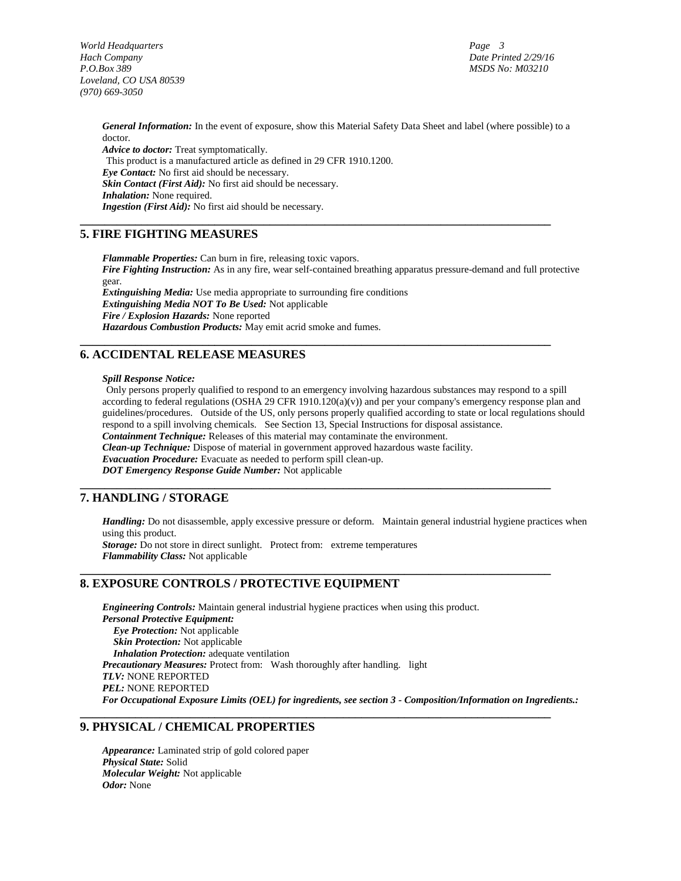*3*

*General Information:* In the event of exposure, show this Material Safety Data Sheet and label (where possible) to a doctor.

**\_\_\_\_\_\_\_\_\_\_\_\_\_\_\_\_\_\_\_\_\_\_\_\_\_\_\_\_\_\_\_\_\_\_\_\_\_\_\_\_\_\_\_\_\_\_\_\_\_\_\_\_\_\_\_\_\_\_\_\_\_\_\_\_\_\_\_\_\_\_\_\_\_\_\_\_\_**

**\_\_\_\_\_\_\_\_\_\_\_\_\_\_\_\_\_\_\_\_\_\_\_\_\_\_\_\_\_\_\_\_\_\_\_\_\_\_\_\_\_\_\_\_\_\_\_\_\_\_\_\_\_\_\_\_\_\_\_\_\_\_\_\_\_\_\_\_\_\_\_\_\_\_\_\_\_**

**\_\_\_\_\_\_\_\_\_\_\_\_\_\_\_\_\_\_\_\_\_\_\_\_\_\_\_\_\_\_\_\_\_\_\_\_\_\_\_\_\_\_\_\_\_\_\_\_\_\_\_\_\_\_\_\_\_\_\_\_\_\_\_\_\_\_\_\_\_\_\_\_\_\_\_\_\_**

**\_\_\_\_\_\_\_\_\_\_\_\_\_\_\_\_\_\_\_\_\_\_\_\_\_\_\_\_\_\_\_\_\_\_\_\_\_\_\_\_\_\_\_\_\_\_\_\_\_\_\_\_\_\_\_\_\_\_\_\_\_\_\_\_\_\_\_\_\_\_\_\_\_\_\_\_\_**

**\_\_\_\_\_\_\_\_\_\_\_\_\_\_\_\_\_\_\_\_\_\_\_\_\_\_\_\_\_\_\_\_\_\_\_\_\_\_\_\_\_\_\_\_\_\_\_\_\_\_\_\_\_\_\_\_\_\_\_\_\_\_\_\_\_\_\_\_\_\_\_\_\_\_\_\_\_**

*Advice to doctor:* Treat symptomatically. This product is a manufactured article as defined in 29 CFR 1910.1200. *Eye Contact:* No first aid should be necessary. *Skin Contact (First Aid):* No first aid should be necessary. *Inhalation:* None required. *Ingestion (First Aid):* No first aid should be necessary.

# **5. FIRE FIGHTING MEASURES**

*Flammable Properties:* Can burn in fire, releasing toxic vapors. *Fire Fighting Instruction:* As in any fire, wear self-contained breathing apparatus pressure-demand and full protective gear. *Extinguishing Media:* Use media appropriate to surrounding fire conditions *Extinguishing Media NOT To Be Used:* Not applicable *Fire / Explosion Hazards:* None reported *Hazardous Combustion Products:* May emit acrid smoke and fumes.

# **6. ACCIDENTAL RELEASE MEASURES**

### *Spill Response Notice:*

Only persons properly qualified to respond to an emergency involving hazardous substances may respond to a spill according to federal regulations (OSHA 29 CFR  $1910.120(a)(v)$ ) and per your company's emergency response plan and guidelines/procedures. Outside of the US, only persons properly qualified according to state or local regulations should respond to a spill involving chemicals. See Section 13, Special Instructions for disposal assistance. *Containment Technique:* Releases of this material may contaminate the environment. *Clean-up Technique:* Dispose of material in government approved hazardous waste facility. *Evacuation Procedure:* Evacuate as needed to perform spill clean-up. *DOT Emergency Response Guide Number:* Not applicable

# **7. HANDLING / STORAGE**

*Handling:* Do not disassemble, apply excessive pressure or deform. Maintain general industrial hygiene practices when using this product. *Storage:* Do not store in direct sunlight. Protect from: extreme temperatures *Flammability Class:* Not applicable

### **8. EXPOSURE CONTROLS / PROTECTIVE EQUIPMENT**

*Engineering Controls:* Maintain general industrial hygiene practices when using this product. *Personal Protective Equipment: Eye Protection:* Not applicable *Skin Protection:* Not applicable *Inhalation Protection:* adequate ventilation *Precautionary Measures:* Protect from: Wash thoroughly after handling. light *TLV:* NONE REPORTED *PEL:* NONE REPORTED *For Occupational Exposure Limits (OEL) for ingredients, see section 3 - Composition/Information on Ingredients.:* 

### **9. PHYSICAL / CHEMICAL PROPERTIES**

*Appearance:* Laminated strip of gold colored paper *Physical State:* Solid *Molecular Weight:* Not applicable *Odor:* None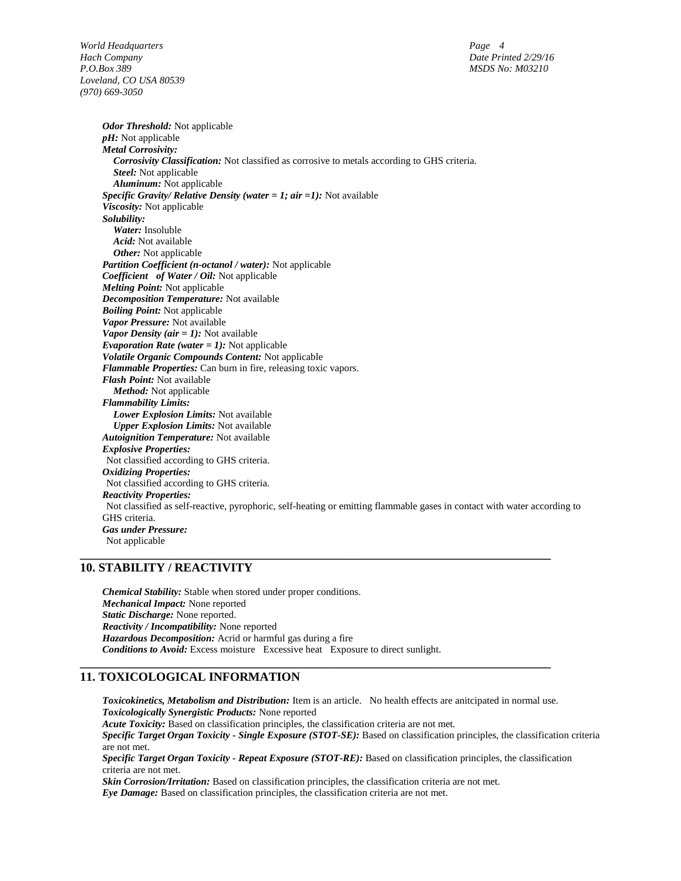*4*

*Odor Threshold:* Not applicable *pH:* Not applicable *Metal Corrosivity: Corrosivity Classification:* Not classified as corrosive to metals according to GHS criteria. *Steel:* Not applicable *Aluminum:* Not applicable *Specific Gravity/ Relative Density (water = 1; air =1):* Not available *Viscosity:* Not applicable *Solubility: Water:* Insoluble *Acid:* Not available *Other:* Not applicable *Partition Coefficient (n-octanol / water):* Not applicable *Coefficient of Water / Oil:* Not applicable *Melting Point:* Not applicable *Decomposition Temperature:* Not available *Boiling Point:* Not applicable *Vapor Pressure:* Not available *Vapor Density (air = 1):* Not available *Evaporation Rate (water = 1):* Not applicable *Volatile Organic Compounds Content:* Not applicable *Flammable Properties:* Can burn in fire, releasing toxic vapors. *Flash Point:* Not available *Method:* Not applicable *Flammability Limits: Lower Explosion Limits:* Not available *Upper Explosion Limits:* Not available *Autoignition Temperature:* Not available *Explosive Properties:*  Not classified according to GHS criteria. *Oxidizing Properties:*  Not classified according to GHS criteria. *Reactivity Properties:*  Not classified as self-reactive, pyrophoric, self-heating or emitting flammable gases in contact with water according to GHS criteria. *Gas under Pressure:*  Not applicable **\_\_\_\_\_\_\_\_\_\_\_\_\_\_\_\_\_\_\_\_\_\_\_\_\_\_\_\_\_\_\_\_\_\_\_\_\_\_\_\_\_\_\_\_\_\_\_\_\_\_\_\_\_\_\_\_\_\_\_\_\_\_\_\_\_\_\_\_\_\_\_\_\_\_\_\_\_**

# **10. STABILITY / REACTIVITY**

*Chemical Stability:* Stable when stored under proper conditions. *Mechanical Impact:* None reported *Static Discharge:* None reported. *Reactivity / Incompatibility:* None reported *Hazardous Decomposition:* Acrid or harmful gas during a fire *Conditions to Avoid:* Excess moisture Excessive heat Exposure to direct sunlight.

# **11. TOXICOLOGICAL INFORMATION**

*Toxicokinetics, Metabolism and Distribution:* Item is an article. No health effects are anitcipated in normal use. *Toxicologically Synergistic Products:* None reported

**\_\_\_\_\_\_\_\_\_\_\_\_\_\_\_\_\_\_\_\_\_\_\_\_\_\_\_\_\_\_\_\_\_\_\_\_\_\_\_\_\_\_\_\_\_\_\_\_\_\_\_\_\_\_\_\_\_\_\_\_\_\_\_\_\_\_\_\_\_\_\_\_\_\_\_\_\_**

*Acute Toxicity:* Based on classification principles, the classification criteria are not met.

*Specific Target Organ Toxicity - Single Exposure (STOT-SE):* Based on classification principles, the classification criteria are not met.

*Specific Target Organ Toxicity - Repeat Exposure (STOT-RE):* Based on classification principles, the classification criteria are not met.

*Skin Corrosion/Irritation:* Based on classification principles, the classification criteria are not met. *Eye Damage:* Based on classification principles, the classification criteria are not met.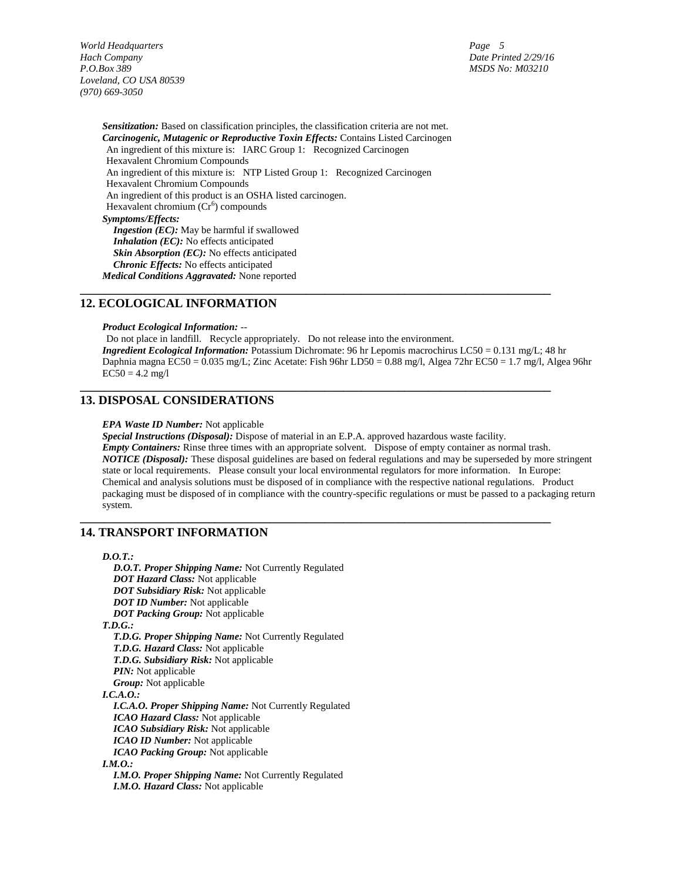*5*

*Sensitization:* Based on classification principles, the classification criteria are not met. *Carcinogenic, Mutagenic or Reproductive Toxin Effects:* Contains Listed Carcinogen An ingredient of this mixture is: IARC Group 1: Recognized Carcinogen Hexavalent Chromium Compounds An ingredient of this mixture is: NTP Listed Group 1: Recognized Carcinogen Hexavalent Chromium Compounds An ingredient of this product is an OSHA listed carcinogen. Hexavalent chromium  $(Cr^6)$  compounds *Symptoms/Effects: Ingestion (EC):* May be harmful if swallowed *Inhalation (EC):* No effects anticipated *Skin Absorption (EC):* No effects anticipated *Chronic Effects:* No effects anticipated *Medical Conditions Aggravated:* None reported

### **12. ECOLOGICAL INFORMATION**

*Product Ecological Information:* --

Do not place in landfill. Recycle appropriately. Do not release into the environment. *Ingredient Ecological Information:* Potassium Dichromate: 96 hr Lepomis macrochirus LC50 = 0.131 mg/L; 48 hr Daphnia magna EC50 = 0.035 mg/L; Zinc Acetate: Fish 96hr LD50 = 0.88 mg/l, Algea 72hr EC50 = 1.7 mg/l, Algea 96hr  $EC50 = 4.2$  mg/l

**\_\_\_\_\_\_\_\_\_\_\_\_\_\_\_\_\_\_\_\_\_\_\_\_\_\_\_\_\_\_\_\_\_\_\_\_\_\_\_\_\_\_\_\_\_\_\_\_\_\_\_\_\_\_\_\_\_\_\_\_\_\_\_\_\_\_\_\_\_\_\_\_\_\_\_\_\_**

**\_\_\_\_\_\_\_\_\_\_\_\_\_\_\_\_\_\_\_\_\_\_\_\_\_\_\_\_\_\_\_\_\_\_\_\_\_\_\_\_\_\_\_\_\_\_\_\_\_\_\_\_\_\_\_\_\_\_\_\_\_\_\_\_\_\_\_\_\_\_\_\_\_\_\_\_\_**

**\_\_\_\_\_\_\_\_\_\_\_\_\_\_\_\_\_\_\_\_\_\_\_\_\_\_\_\_\_\_\_\_\_\_\_\_\_\_\_\_\_\_\_\_\_\_\_\_\_\_\_\_\_\_\_\_\_\_\_\_\_\_\_\_\_\_\_\_\_\_\_\_\_\_\_\_\_**

# **13. DISPOSAL CONSIDERATIONS**

#### *EPA Waste ID Number:* Not applicable

*Special Instructions (Disposal):* Dispose of material in an E.P.A. approved hazardous waste facility. *Empty Containers:* Rinse three times with an appropriate solvent. Dispose of empty container as normal trash. *NOTICE (Disposal):* These disposal guidelines are based on federal regulations and may be superseded by more stringent state or local requirements. Please consult your local environmental regulators for more information. In Europe: Chemical and analysis solutions must be disposed of in compliance with the respective national regulations. Product packaging must be disposed of in compliance with the country-specific regulations or must be passed to a packaging return system.

# **14. TRANSPORT INFORMATION**

*I.M.O. Hazard Class:* Not applicable

*D.O.T.:* 

*D.O.T. Proper Shipping Name:* Not Currently Regulated *DOT Hazard Class:* Not applicable *DOT Subsidiary Risk:* Not applicable *DOT ID Number:* Not applicable *DOT Packing Group:* Not applicable *T.D.G.: T.D.G. Proper Shipping Name:* Not Currently Regulated *T.D.G. Hazard Class:* Not applicable *T.D.G. Subsidiary Risk:* Not applicable *PIN:* Not applicable *Group:* Not applicable *I.C.A.O.: I.C.A.O. Proper Shipping Name:* Not Currently Regulated *ICAO Hazard Class:* Not applicable *ICAO Subsidiary Risk:* Not applicable *ICAO ID Number:* Not applicable *ICAO Packing Group:* Not applicable *I.M.O.: I.M.O. Proper Shipping Name:* Not Currently Regulated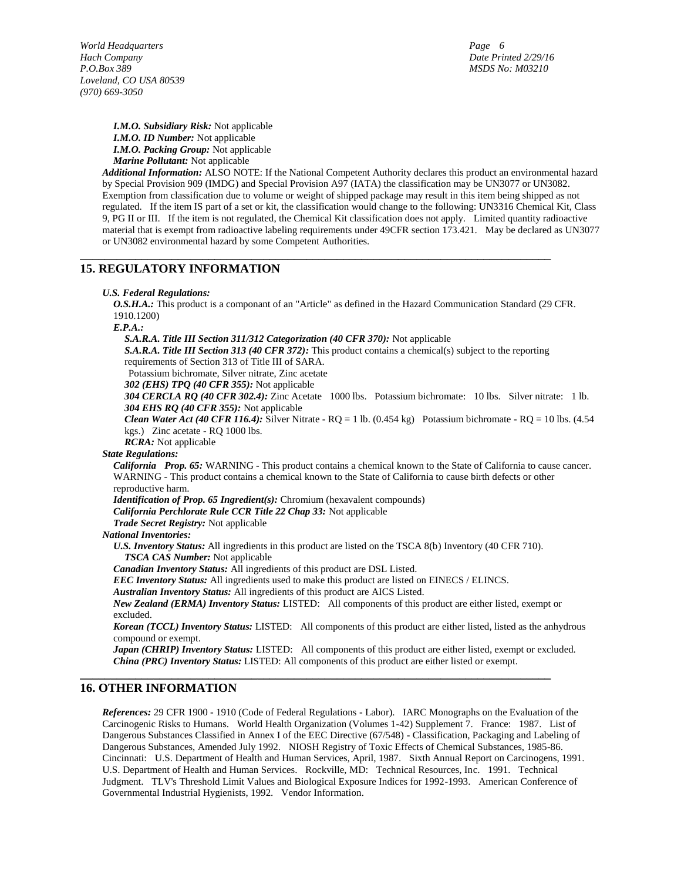*6*

*I.M.O. Subsidiary Risk:* Not applicable *I.M.O. ID Number:* Not applicable *I.M.O. Packing Group:* Not applicable *Marine Pollutant:* Not applicable

*Additional Information:* ALSO NOTE: If the National Competent Authority declares this product an environmental hazard by Special Provision 909 (IMDG) and Special Provision A97 (IATA) the classification may be UN3077 or UN3082. Exemption from classification due to volume or weight of shipped package may result in this item being shipped as not regulated. If the item IS part of a set or kit, the classification would change to the following: UN3316 Chemical Kit, Class 9, PG II or III. If the item is not regulated, the Chemical Kit classification does not apply. Limited quantity radioactive material that is exempt from radioactive labeling requirements under 49CFR section 173.421. May be declared as UN3077 or UN3082 environmental hazard by some Competent Authorities.

# **15. REGULATORY INFORMATION**

### *U.S. Federal Regulations:*

*O.S.H.A.:* This product is a componant of an "Article" as defined in the Hazard Communication Standard (29 CFR. 1910.1200)

**\_\_\_\_\_\_\_\_\_\_\_\_\_\_\_\_\_\_\_\_\_\_\_\_\_\_\_\_\_\_\_\_\_\_\_\_\_\_\_\_\_\_\_\_\_\_\_\_\_\_\_\_\_\_\_\_\_\_\_\_\_\_\_\_\_\_\_\_\_\_\_\_\_\_\_\_\_**

*E.P.A.:* 

*S.A.R.A. Title III Section 311/312 Categorization (40 CFR 370):* Not applicable

*S.A.R.A. Title III Section 313 (40 CFR 372):* This product contains a chemical(s) subject to the reporting requirements of Section 313 of Title III of SARA.

Potassium bichromate, Silver nitrate, Zinc acetate

*302 (EHS) TPQ (40 CFR 355):* Not applicable

*304 CERCLA RQ (40 CFR 302.4):* Zinc Acetate 1000 lbs. Potassium bichromate: 10 lbs. Silver nitrate: 1 lb. *304 EHS RQ (40 CFR 355):* Not applicable

*Clean Water Act (40 CFR 116.4):* Silver Nitrate - RQ = 1 lb. (0.454 kg) Potassium bichromate - RQ = 10 lbs. (4.54 kgs.) Zinc acetate - RQ 1000 lbs.

*RCRA:* Not applicable

### *State Regulations:*

*California Prop. 65:* WARNING - This product contains a chemical known to the State of California to cause cancer. WARNING - This product contains a chemical known to the State of California to cause birth defects or other reproductive harm.

*Identification of Prop. 65 Ingredient(s):* Chromium (hexavalent compounds)

*California Perchlorate Rule CCR Title 22 Chap 33:* Not applicable

*Trade Secret Registry:* Not applicable

*National Inventories:* 

*U.S. Inventory Status:* All ingredients in this product are listed on the TSCA 8(b) Inventory (40 CFR 710). *TSCA CAS Number:* Not applicable

*Canadian Inventory Status:* All ingredients of this product are DSL Listed.

*EEC Inventory Status:* All ingredients used to make this product are listed on EINECS / ELINCS.

**\_\_\_\_\_\_\_\_\_\_\_\_\_\_\_\_\_\_\_\_\_\_\_\_\_\_\_\_\_\_\_\_\_\_\_\_\_\_\_\_\_\_\_\_\_\_\_\_\_\_\_\_\_\_\_\_\_\_\_\_\_\_\_\_\_\_\_\_\_\_\_\_\_\_\_\_\_**

*Australian Inventory Status:* All ingredients of this product are AICS Listed.

*New Zealand (ERMA) Inventory Status:* LISTED: All components of this product are either listed, exempt or excluded.

*Korean (TCCL) Inventory Status:* LISTED: All components of this product are either listed, listed as the anhydrous compound or exempt.

*Japan (CHRIP) Inventory Status:* LISTED: All components of this product are either listed, exempt or excluded. *China (PRC) Inventory Status:* LISTED: All components of this product are either listed or exempt.

# **16. OTHER INFORMATION**

*References:* 29 CFR 1900 - 1910 (Code of Federal Regulations - Labor). IARC Monographs on the Evaluation of the Carcinogenic Risks to Humans. World Health Organization (Volumes 1-42) Supplement 7. France: 1987. List of Dangerous Substances Classified in Annex I of the EEC Directive (67/548) - Classification, Packaging and Labeling of Dangerous Substances, Amended July 1992. NIOSH Registry of Toxic Effects of Chemical Substances, 1985-86. Cincinnati: U.S. Department of Health and Human Services, April, 1987. Sixth Annual Report on Carcinogens, 1991. U.S. Department of Health and Human Services. Rockville, MD: Technical Resources, Inc. 1991. Technical Judgment. TLV's Threshold Limit Values and Biological Exposure Indices for 1992-1993. American Conference of Governmental Industrial Hygienists, 1992. Vendor Information.